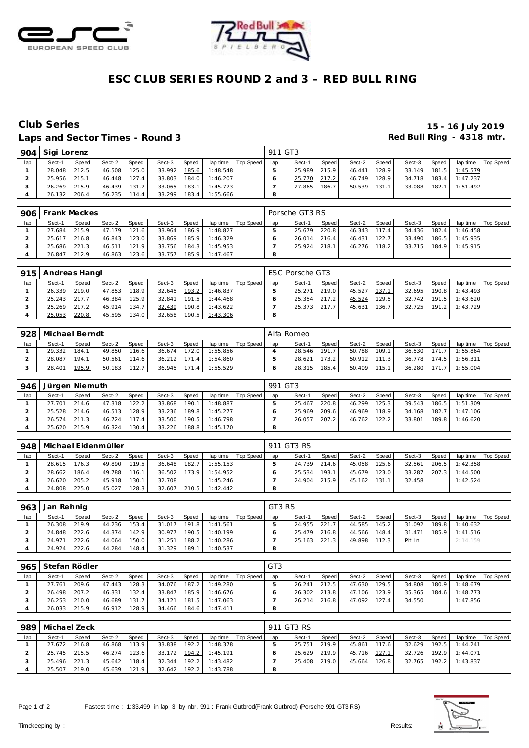



## **ESC CLUB SERIES ROUND 2 and 3 – RED BULL RING**

## Laps and Sector Times - Round 3 **Red Bull Ring - 4318 mtr. Red Bull Ring - 4318 mtr.**

# **Club Series 15 - 16 July 2019**

|     | 904 Sigi Lorenz |       |        |       |        |       |                |           |     | 911 GT3 |       |        |       |        |       |                  |           |
|-----|-----------------|-------|--------|-------|--------|-------|----------------|-----------|-----|---------|-------|--------|-------|--------|-------|------------------|-----------|
| lap | Sect-1          | Speed | Sect-2 | Speed | Sect-3 | Speed | lap time       | Top Speed | lap | Sect-1  | Speed | Sect-2 | Speed | Sect-3 | Speed | lap time         | Top Speed |
|     | 28.048          | 212.5 | 46.508 | 125.0 | 33.992 |       | 185.6 1:48.548 |           |     | 25.989  | 215.9 | 46.441 | 128.9 | 33.149 |       | 181.5 1:45.579   |           |
|     | 25.956          | 215.1 | 46.448 | 127.4 | 33.803 |       | 184.0 1:46.207 |           |     | 25.770  | 217.2 | 46.749 | 128.9 | 34.718 |       | $183.4$ 1:47.237 |           |
|     | 26.269          | 215.9 | 46.439 | 131.7 | 33.065 | 183.1 | 1:45.773       |           |     | 27.865  | 186.7 | 50.539 | 131.1 | 33.088 |       | 182.1 1:51.492   |           |
|     | 26.132          | 206.4 | 56.235 | 114.4 | 33.299 | 183.4 | 1:55.666       |           | 8   |         |       |        |       |        |       |                  |           |

|     | 906   Frank Meckes |              |        |       |        |       |                |             |     | Porsche GT3 RS |         |        |        |        |       |          |           |
|-----|--------------------|--------------|--------|-------|--------|-------|----------------|-------------|-----|----------------|---------|--------|--------|--------|-------|----------|-----------|
| lap | Sect-1             | <b>Speed</b> | Sect-2 | Speed | Sect-3 | Speed | lap time       | Top Speed I | lap | Sect-1         | Speed I | Sect-2 | Speed, | Sect-3 | Speed | lap time | Top Speed |
|     | 27.684             | 215.9        | 47.179 | 121.6 | 33.964 | 186.9 | 1:48.827       |             |     | 25.679         | 220.8   | 46.343 | 117.4  | 34.436 | 182.4 | 1:46.458 |           |
|     | 25.617             | 216.8        | 46.843 | 123.0 | 33.869 | 185.9 | 1:46.329       |             |     | 26.014         | 216.4   | 46.431 | 122.7  | 33.490 | 186.5 | 1:45.935 |           |
|     | 25.686             | 221.3        | 46.511 | 121.9 | 33.756 |       | 184.3 1:45.953 |             |     | 25.924         | 218.1   | 46.276 | 118.2  | 33.715 | 184.9 | 1:45.915 |           |
|     | 26.847             | 212.9        | 46.863 | 123.6 | 33.757 |       | 185.9 1:47.467 |             | 8   |                |         |        |        |        |       |          |           |

|     | 915   Andreas Hangl |       |        |              |        |       |          |           |     | ESC Porsche GT3 |       |        |         |        |       |          |           |
|-----|---------------------|-------|--------|--------------|--------|-------|----------|-----------|-----|-----------------|-------|--------|---------|--------|-------|----------|-----------|
| lap | Sect-1              | Speed | Sect-2 | <b>Speed</b> | Sect-3 | Speed | lap time | Top Speed | lap | Sect-1          | Speed | Sect-2 | Speed   | Sect-3 | Speed | lap time | Top Speed |
|     | 26.339              | 219.0 | 47.853 | 118.9        | 32.645 | 193.2 | 1:46.837 |           |     | 25.271          | 219.0 | 45.527 | 137.1   | 32.695 | 190.8 | 1:43.493 |           |
|     | 25.243              | 217.7 | 46.384 | 125.9        | 32.841 | 191.5 | 1:44.468 |           |     | 25.354          | 217.2 | 45.524 | 129.5 l | 32.742 | 191.5 | 1:43.620 |           |
|     | 25.269              | 217.2 | 45.914 | 134.7        | 32.439 | 190.8 | 1:43.622 |           |     | 25.373          | 217.7 | 45.631 | 136.7   | 32.725 | 191.2 | 1:43.729 |           |
|     | 25.053              | 220.8 | 45.595 | 134.0        | 32.658 | 190.5 | 1:43.306 |           |     |                 |       |        |         |        |       |          |           |

|     | 928 Michael Berndt |       |        |       |        |        |          |           |     | Alfa Romeo |       |        |       |        |        |          |           |
|-----|--------------------|-------|--------|-------|--------|--------|----------|-----------|-----|------------|-------|--------|-------|--------|--------|----------|-----------|
| lap | Sect-1             | Speed | Sect-2 | Speed | Sect-3 | Speed  | lap time | Top Speed | lap | Sect-1     | Speed | Sect-2 | Speed | Sect-3 | Speed  | lap time | Top Speed |
|     | 29.332             | 184.1 | 49.850 | 116.6 | 36.674 | 172.01 | 1:55.856 |           |     | 28.546     | 191.7 | 50.788 | 109.1 | 36.530 | 171    | 1:55.864 |           |
|     | 28.087             | 194.1 | 50.561 | 114.6 | 36.212 | 171.4  | 1:54.860 |           |     | 28.621     | 173.2 | 50.912 | 111.3 | 36.778 | 174.5. | 1:56.311 |           |
|     | 28.401             | 195.9 | 50.183 | 112.7 | 36.945 | 171.4  | 1:55.529 |           |     | 28.315     | 185.4 | 50.409 | 115.1 | 36.280 | 171    | :55.004  |           |

|     | 946   Jürgen Niemuth |         |        |       |        |       |          |           | 991 GT3 |        |       |        |       |        |       |          |           |
|-----|----------------------|---------|--------|-------|--------|-------|----------|-----------|---------|--------|-------|--------|-------|--------|-------|----------|-----------|
| lap | Sect-1               | Speed I | Sect-2 | Speed | Sect-3 | Speed | lap time | Top Speed | lap     | Sect-1 | Speed | Sect-2 | Speed | Sect-3 | Speed | lap time | Top Speed |
|     | 27.701               | 214.6   | 47.318 | 122.2 | 33.868 | 190.1 | 1:48.887 |           |         | 25.467 | 220.8 | 46.299 | 125.3 | 39.543 | 186.5 | 1:51.309 |           |
|     | 25.528               | 214.6   | 46.513 | 128.9 | 33.236 | 189.8 | 1:45.277 |           |         | 25.969 | 209.6 | 46.969 | 118.9 | 34.168 | 182.7 | 1:47.106 |           |
|     | 26.574               | 211.3   | 46.724 | 117.4 | 33.500 | 190.5 | 1:46.798 |           |         | 26.057 | 207.2 | 46.762 | 122.2 | 33.801 | 189.8 | 1:46.620 |           |
|     | 25.620               | 215.9   | 46.324 | 130.4 | 33.226 | 188.8 | 1:45.170 |           |         |        |       |        |       |        |       |          |           |

| 948 |        |       | Michael Eidenmüller |       |        |       |          |           |     | 911 GT3 RS |       |        |       |        |       |          |           |
|-----|--------|-------|---------------------|-------|--------|-------|----------|-----------|-----|------------|-------|--------|-------|--------|-------|----------|-----------|
| lap | Sect-1 | Speed | Sect-2              | Speed | Sect-3 | Speed | lap time | Top Speed | lap | Sect-1     | Speed | Sect-2 | Speed | Sect-3 | Speed | lap time | Top Speed |
|     | 28.615 | 176.3 | 49.890              | 119.5 | 36.648 | 182.7 | 1:55.153 |           |     | 24.739     | 214.6 | 45.058 | 125.6 | 32.561 | 206.5 | 1:42.358 |           |
|     | 28.662 | 186.4 | 49.788              | 116.1 | 36.502 | 173.9 | 1:54.952 |           |     | 25.534     | 193.1 | 45.679 | 123.0 | 33.287 | 207.3 | 1:44.500 |           |
|     | 26.620 | 205.2 | 45.918              | 130.1 | 32.708 |       | 1:45.246 |           |     | 24.904     | 215.9 | 45.162 | 131.1 | 32.458 |       | 1:42.524 |           |
|     | 24.808 | 225.0 | 45.027              | 128.3 | 32.607 | 210.5 | 1:42.442 |           |     |            |       |        |       |        |       |          |           |

| 963 | Jan Rehnig |         |        |              |        |       |          |             | GT3 RS |        |       |        |       |        |       |          |           |
|-----|------------|---------|--------|--------------|--------|-------|----------|-------------|--------|--------|-------|--------|-------|--------|-------|----------|-----------|
| lap | Sect-1     | Speed I | Sect-2 | <b>Speed</b> | Sect-3 | Speed | lap time | Top Speed I | lap    | Sect-1 | Speed | Sect-2 | Speed | Sect-3 | Speed | lap time | Top Speed |
|     | 26.308     | 219.9   | 44.236 | 153.4        | 31.017 | 191.8 | 1:41.561 |             |        | 24.955 | 221.7 | 44.585 | 145.2 | 31.092 | 189.8 | 1:40.632 |           |
|     | 24.848     | 222.6   | 44.374 | 142.9        | 30.977 | 190.5 | 1:40.199 |             |        | 25.479 | 216.8 | 44.566 | 148.4 | 31.471 | 185.9 | 1:41.516 |           |
|     | 24.971     | 222.6   | 44.064 | 150.0        | 31.251 | 188.2 | 1:40.286 |             |        | 25.163 | 221.3 | 49.898 | 112.3 | Pit In |       | 2:14.159 |           |
|     | 24.924     | 222.6   | 44.284 | 148.4        | 31.329 | 189.1 | 1:40.537 |             | 8      |        |       |        |       |        |       |          |           |

| 965 | Stefan Rödler |       |        |       |        |       |                |           | GT <sub>3</sub> |        |       |        |       |        |       |          |           |
|-----|---------------|-------|--------|-------|--------|-------|----------------|-----------|-----------------|--------|-------|--------|-------|--------|-------|----------|-----------|
| lap | Sect-1        | Speed | Sect-2 | Speed | Sect-3 | Speed | lap time       | Top Speed | lap             | Sect-1 | Speed | Sect-2 | Speed | Sect-3 | Speed | lap time | Top Speed |
|     | 27.761        | 209.6 | 47.443 | 128.3 | 34.076 | 187.2 | 1:49.280       |           |                 | 26.241 | 212.5 | 47.630 | 129.5 | 34.808 | 180.9 | 1:48.679 |           |
|     | 26.498        | 207.2 | 46.331 | 132.4 | 33.847 | 185.9 | 1:46.676       |           |                 | 26.302 | 213.8 | 47.106 | 123.9 | 35.365 | 184.6 | 1:48.773 |           |
|     | 26.253        | 210.0 | 46.689 | 131.7 | 34.121 | 181.5 | 1:47.063       |           |                 | 26.214 | 216.8 | 47.092 | 127.4 | 34.550 |       | 1:47.856 |           |
|     | 26.033        | 215.9 | 46.912 | 128.9 | 34.466 |       | 184.6 1:47.411 |           |                 |        |       |        |       |        |       |          |           |

| 989 | Michael Zeck |              |        |       |        |       |                       |           |     | 911 GT3 RS |       |              |       |        |       |                       |                    |
|-----|--------------|--------------|--------|-------|--------|-------|-----------------------|-----------|-----|------------|-------|--------------|-------|--------|-------|-----------------------|--------------------|
| lap | Sect-1       | Speed        | Sect-2 | Speed | Sect-3 | Speed | lap time              | Top Speed | lap | Sect-1     | Speed | Sect-2       | Speed | Sect-3 | Speed |                       | lap time Top Speed |
|     | 27.672       | 216.8        | 46.868 | 113.9 | 33.838 | 192.2 | 1:48.378              |           |     | 25.751     | 219.9 | 45.861       | 117.6 | 32.629 |       | 192.5 1:44.241        |                    |
|     |              | 25.745 215.5 | 46.274 | 123.6 |        |       | 33.172 194.2 1:45.191 |           |     | 25.629     | 219.9 | 45.716 127.1 |       | 32.726 |       | 192.9 1:44.071        |                    |
|     | 25.496       | 221.3        | 45.642 | 118.4 | 32.344 | 192.2 | 1:43.482              |           |     | 25.408     | 219.0 | 45.664 126.8 |       |        |       | 32.765 192.2 1:43.837 |                    |
|     | 25.507       | 219.0        | 45.639 | 121.9 |        |       | 32.642 192.2 1:43.788 |           | 8   |            |       |              |       |        |       |                       |                    |